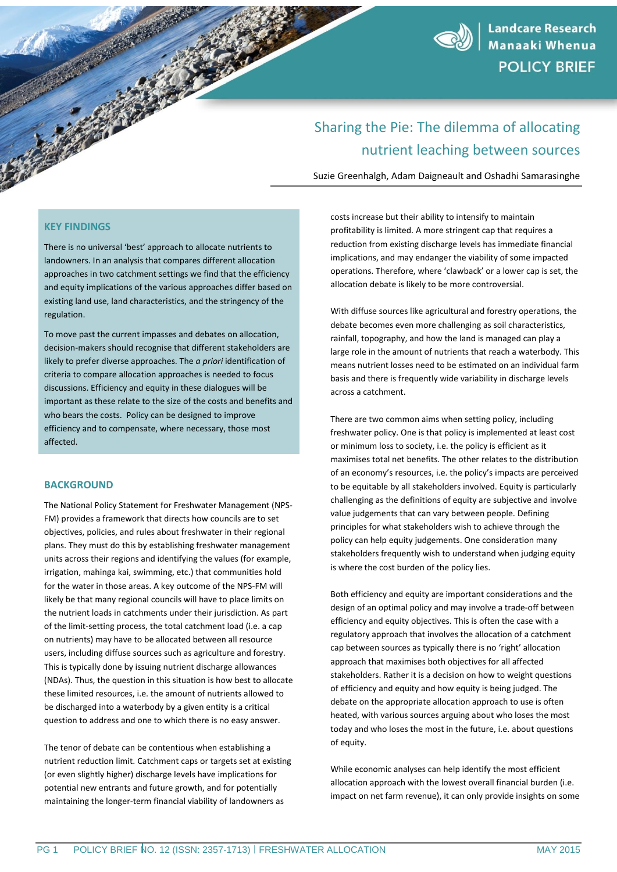

# Sharing the Pie: The dilemma of allocating nutrient leaching between sources

Suzie Greenhalgh, Adam Daigneault and Oshadhi Samarasinghe

## **KEY FINDINGS**

There is no universal 'best' approach to allocate nutrients to landowners. In an analysis that compares different allocation approaches in two catchment settings we find that the efficiency and equity implications of the various approaches differ based on existing land use, land characteristics, and the stringency of the regulation.

To move past the current impasses and debates on allocation, decision-makers should recognise that different stakeholders are likely to prefer diverse approaches. The *a priori* identification of criteria to compare allocation approaches is needed to focus discussions. Efficiency and equity in these dialogues will be important as these relate to the size of the costs and benefits and who bears the costs. Policy can be designed to improve efficiency and to compensate, where necessary, those most affected.

## **BACKGROUND**

The National Policy Statement for Freshwater Management (NPS-FM) provides a framework that directs how councils are to set objectives, policies, and rules about freshwater in their regional plans. They must do this by establishing freshwater management units across their regions and identifying the values (for example, irrigation, mahinga kai, swimming, etc.) that communities hold for the water in those areas. A key outcome of the NPS-FM will likely be that many regional councils will have to place limits on the nutrient loads in catchments under their jurisdiction. As part of the limit-setting process, the total catchment load (i.e. a cap on nutrients) may have to be allocated between all resource users, including diffuse sources such as agriculture and forestry. This is typically done by issuing nutrient discharge allowances (NDAs). Thus, the question in this situation is how best to allocate these limited resources, i.e. the amount of nutrients allowed to be discharged into a waterbody by a given entity is a critical question to address and one to which there is no easy answer.

The tenor of debate can be contentious when establishing a nutrient reduction limit. Catchment caps or targets set at existing (or even slightly higher) discharge levels have implications for potential new entrants and future growth, and for potentially maintaining the longer-term financial viability of landowners as

costs increase but their ability to intensify to maintain profitability is limited. A more stringent cap that requires a reduction from existing discharge levels has immediate financial implications, and may endanger the viability of some impacted operations. Therefore, where 'clawback' or a lower cap is set, the allocation debate is likely to be more controversial.

With diffuse sources like agricultural and forestry operations, the debate becomes even more challenging as soil characteristics, rainfall, topography, and how the land is managed can play a large role in the amount of nutrients that reach a waterbody. This means nutrient losses need to be estimated on an individual farm basis and there is frequently wide variability in discharge levels across a catchment.

There are two common aims when setting policy, including freshwater policy. One is that policy is implemented at least cost or minimum loss to society, i.e. the policy is efficient as it maximises total net benefits. The other relates to the distribution of an economy's resources, i.e. the policy's impacts are perceived to be equitable by all stakeholders involved. Equity is particularly challenging as the definitions of equity are subjective and involve value judgements that can vary between people. Defining principles for what stakeholders wish to achieve through the policy can help equity judgements. One consideration many stakeholders frequently wish to understand when judging equity is where the cost burden of the policy lies.

Both efficiency and equity are important considerations and the design of an optimal policy and may involve a trade-off between efficiency and equity objectives. This is often the case with a regulatory approach that involves the allocation of a catchment cap between sources as typically there is no 'right' allocation approach that maximises both objectives for all affected stakeholders. Rather it is a decision on how to weight questions of efficiency and equity and how equity is being judged. The debate on the appropriate allocation approach to use is often heated, with various sources arguing about who loses the most today and who loses the most in the future, i.e. about questions of equity.

While economic analyses can help identify the most efficient allocation approach with the lowest overall financial burden (i.e. impact on net farm revenue), it can only provide insights on some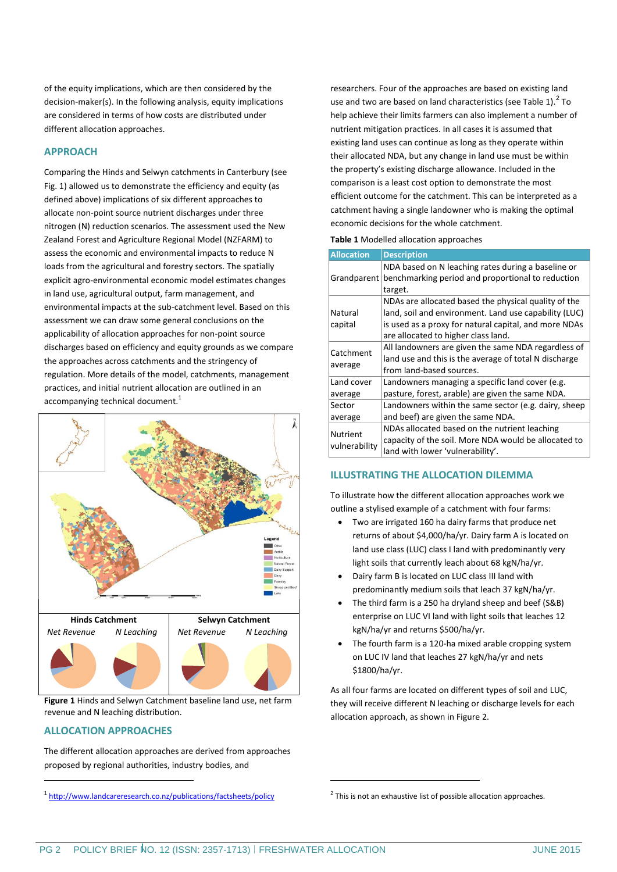of the equity implications, which are then considered by the decision-maker(s). In the following analysis, equity implications are considered in terms of how costs are distributed under different allocation approaches.

# **APPROACH**

Comparing the Hinds and Selwyn catchments in Canterbury (see Fig. 1) allowed us to demonstrate the efficiency and equity (as defined above) implications of six different approaches to allocate non-point source nutrient discharges under three nitrogen (N) reduction scenarios. The assessment used the New Zealand Forest and Agriculture Regional Model (NZFARM) to assess the economic and environmental impacts to reduce N loads from the agricultural and forestry sectors. The spatially explicit agro-environmental economic model estimates changes in land use, agricultural output, farm management, and environmental impacts at the sub-catchment level. Based on this assessment we can draw some general conclusions on the applicability of allocation approaches for non-point source discharges based on efficiency and equity grounds as we compare the approaches across catchments and the stringency of regulation. More details of the model, catchments, management practices, and initial nutrient allocation are outlined in an accompanying technical document.<sup>1</sup>



**Figure 1** Hinds and Selwyn Catchment baseline land use, net farm revenue and N leaching distribution.

# **ALLOCATION APPROACHES**

l

The different allocation approaches are derived from approaches proposed by regional authorities, industry bodies, and

researchers. Four of the approaches are based on existing land use and two are based on land characteristics (see Table 1).  $2^2$  To help achieve their limits farmers can also implement a number of nutrient mitigation practices. In all cases it is assumed that existing land uses can continue as long as they operate within their allocated NDA, but any change in land use must be within the property's existing discharge allowance. Included in the comparison is a least cost option to demonstrate the most efficient outcome for the catchment. This can be interpreted as a catchment having a single landowner who is making the optimal economic decisions for the whole catchment.

#### **Table 1** Modelled allocation approaches

| <b>Allocation</b>                | <b>Description</b>                                            |  |  |  |
|----------------------------------|---------------------------------------------------------------|--|--|--|
|                                  | NDA based on N leaching rates during a baseline or            |  |  |  |
|                                  | Grandparent benchmarking period and proportional to reduction |  |  |  |
|                                  | target.                                                       |  |  |  |
| Natural                          | NDAs are allocated based the physical quality of the          |  |  |  |
|                                  | land, soil and environment. Land use capability (LUC)         |  |  |  |
| capital                          | is used as a proxy for natural capital, and more NDAs         |  |  |  |
|                                  | are allocated to higher class land.                           |  |  |  |
| Catchment<br>average             | All landowners are given the same NDA regardless of           |  |  |  |
|                                  | land use and this is the average of total N discharge         |  |  |  |
|                                  | from land-based sources.                                      |  |  |  |
| Land cover                       | Landowners managing a specific land cover (e.g.               |  |  |  |
| average                          | pasture, forest, arable) are given the same NDA.              |  |  |  |
| Sector                           | Landowners within the same sector (e.g. dairy, sheep          |  |  |  |
| average                          | and beef) are given the same NDA.                             |  |  |  |
| <b>Nutrient</b><br>vulnerability | NDAs allocated based on the nutrient leaching                 |  |  |  |
|                                  | capacity of the soil. More NDA would be allocated to          |  |  |  |
|                                  | land with lower 'vulnerability'.                              |  |  |  |

## **ILLUSTRATING THE ALLOCATION DILEMMA**

To illustrate how the different allocation approaches work we outline a stylised example of a catchment with four farms:

- Two are irrigated 160 ha dairy farms that produce net returns of about \$4,000/ha/yr. Dairy farm A is located on land use class (LUC) class I land with predominantly very light soils that currently leach about 68 kgN/ha/yr.
- Dairy farm B is located on LUC class III land with predominantly medium soils that leach 37 kgN/ha/yr.
- The third farm is a 250 ha dryland sheep and beef (S&B) enterprise on LUC VI land with light soils that leaches 12 kgN/ha/yr and returns \$500/ha/yr.
- The fourth farm is a 120-ha mixed arable cropping system on LUC IV land that leaches 27 kgN/ha/yr and nets \$1800/ha/yr.

As all four farms are located on different types of soil and LUC, they will receive different N leaching or discharge levels for each allocation approach, as shown in Figure 2.

-

<sup>1</sup> <http://www.landcareresearch.co.nz/publications/factsheets/policy>

 $2$  This is not an exhaustive list of possible allocation approaches.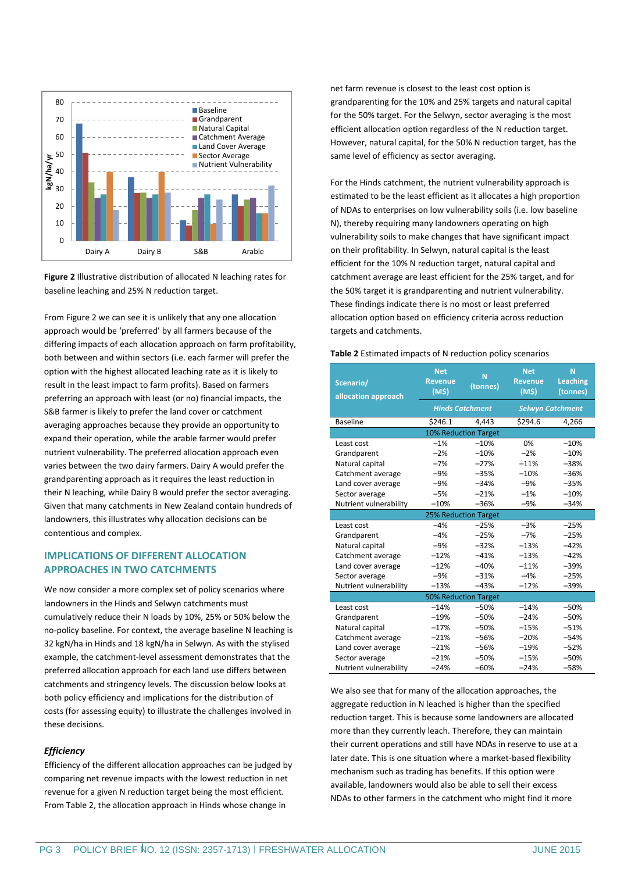

**Figure 2** Illustrative distribution of allocated N leaching rates for baseline leaching and 25% N reduction target.

From Figure 2 we can see it is unlikely that any one allocation approach would be 'preferred' by all farmers because of the differing impacts of each allocation approach on farm profitability, both between and within sectors (i.e. each farmer will prefer the option with the highest allocated leaching rate as it is likely to result in the least impact to farm profits). Based on farmers preferring an approach with least (or no) financial impacts, the S&B farmer is likely to prefer the land cover or catchment averaging approaches because they provide an opportunity to expand their operation, while the arable farmer would prefer nutrient vulnerability. The preferred allocation approach even varies between the two dairy farmers. Dairy A would prefer the grandparenting approach as it requires the least reduction in their N leaching, while Dairy B would prefer the sector averaging. Given that many catchments in New Zealand contain hundreds of landowners, this illustrates why allocation decisions can be contentious and complex.

## **IMPLICATIONS OF DIFFERENT ALLOCATION APPROACHES IN TWO CATCHMENTS**

We now consider a more complex set of policy scenarios where landowners in the Hinds and Selwyn catchments must cumulatively reduce their N loads by 10%, 25% or 50% below the no-policy baseline. For context, the average baseline N leaching is 32 kgN/ha in Hinds and 18 kgN/ha in Selwyn. As with the stylised example, the catchment-level assessment demonstrates that the preferred allocation approach for each land use differs between catchments and stringency levels. The discussion below looks at both policy efficiency and implications for the distribution of costs (for assessing equity) to illustrate the challenges involved in these decisions.

## *Efficiency*

Efficiency of the different allocation approaches can be judged by comparing net revenue impacts with the lowest reduction in net revenue for a given N reduction target being the most efficient. From Table 2, the allocation approach in Hinds whose change in

net farm revenue is closest to the least cost option is grandparenting for the 10% and 25% targets and natural capital for the 50% target. For the Selwyn, sector averaging is the most efficient allocation option regardless of the N reduction target. However, natural capital, for the 50% N reduction target, has the same level of efficiency as sector averaging.

For the Hinds catchment, the nutrient vulnerability approach is estimated to be the least efficient as it allocates a high proportion of NDAs to enterprises on low vulnerability soils (i.e. low baseline N), thereby requiring many landowners operating on high vulnerability soils to make changes that have significant impact on their profitability. In Selwyn, natural capital is the least efficient for the 10% N reduction target, natural capital and catchment average are least efficient for the 25% target, and for the 50% target it is grandparenting and nutrient vulnerability. These findings indicate there is no most or least preferred allocation option based on efficiency criteria across reduction targets and catchments.

#### **Table 2** Estimated impacts of N reduction policy scenarios

| Scenario/<br>allocation approach | <b>Net</b><br><b>Revenue</b><br>(M5) | N<br>(tonnes) | <b>Net</b><br><b>Revenue</b><br>(M5) | N<br><b>Leaching</b><br>(tonnes) |  |  |
|----------------------------------|--------------------------------------|---------------|--------------------------------------|----------------------------------|--|--|
|                                  | <b>Hinds Catchment</b>               |               | <b>Selwyn Catchment</b>              |                                  |  |  |
| <b>Baseline</b>                  | \$246.1                              | 4,443         | \$294.6                              | 4,266                            |  |  |
| <b>10% Reduction Target</b>      |                                      |               |                                      |                                  |  |  |
| Least cost                       | $-1%$                                | $-10%$        | 0%                                   | $-10%$                           |  |  |
| Grandparent                      | $-2%$                                | $-10%$        | $-2%$                                | $-10%$                           |  |  |
| Natural capital                  | $-7%$                                | $-27%$        | $-11%$                               | $-38%$                           |  |  |
| Catchment average                | $-9%$                                | $-35%$        | $-10%$                               | $-36%$                           |  |  |
| Land cover average               | $-9%$                                | $-34%$        | $-9%$                                | $-35%$                           |  |  |
| Sector average                   | $-5%$                                | $-21%$        | $-1%$                                | $-10%$                           |  |  |
| Nutrient vulnerability           | $-10%$                               | $-36%$        | $-9%$                                | $-34%$                           |  |  |
| 25% Reduction Target             |                                      |               |                                      |                                  |  |  |
| Least cost                       | $-4%$                                | $-25%$        | $-3%$                                | $-25%$                           |  |  |
| Grandparent                      | $-4%$                                | $-25%$        | $-7%$                                | $-25%$                           |  |  |
| Natural capital                  | $-9%$                                | $-32%$        | $-13%$                               | $-42%$                           |  |  |
| Catchment average                | $-12%$                               | $-41%$        | $-13%$                               | $-42%$                           |  |  |
| Land cover average               | $-12%$                               | $-40%$        | $-11%$                               | $-39%$                           |  |  |
| Sector average                   | $-9%$                                | $-31%$        | $-4%$                                | $-25%$                           |  |  |
| Nutrient vulnerability           | $-13%$                               | $-43%$        | $-12%$                               | $-39%$                           |  |  |
| <b>50% Reduction Target</b>      |                                      |               |                                      |                                  |  |  |
| Least cost                       | $-14%$                               | $-50%$        | $-14%$                               | $-50%$                           |  |  |
| Grandparent                      | $-19%$                               | $-50%$        | $-24%$                               | $-50%$                           |  |  |
| Natural capital                  | $-17%$                               | $-50%$        | $-15%$                               | $-51%$                           |  |  |
| Catchment average                | $-21%$                               | $-56%$        | $-20%$                               | $-54%$                           |  |  |
| Land cover average               | $-21%$                               | $-56%$        | $-19%$                               | $-52%$                           |  |  |
| Sector average                   | $-21%$                               | $-50%$        | $-15%$                               | $-50%$                           |  |  |
| Nutrient vulnerability           | $-24%$                               | $-60%$        | $-24%$                               | $-58%$                           |  |  |

We also see that for many of the allocation approaches, the aggregate reduction in N leached is higher than the specified reduction target. This is because some landowners are allocated more than they currently leach. Therefore, they can maintain their current operations and still have NDAs in reserve to use at a later date. This is one situation where a market-based flexibility mechanism such as trading has benefits. If this option were available, landowners would also be able to sell their excess NDAs to other farmers in the catchment who might find it more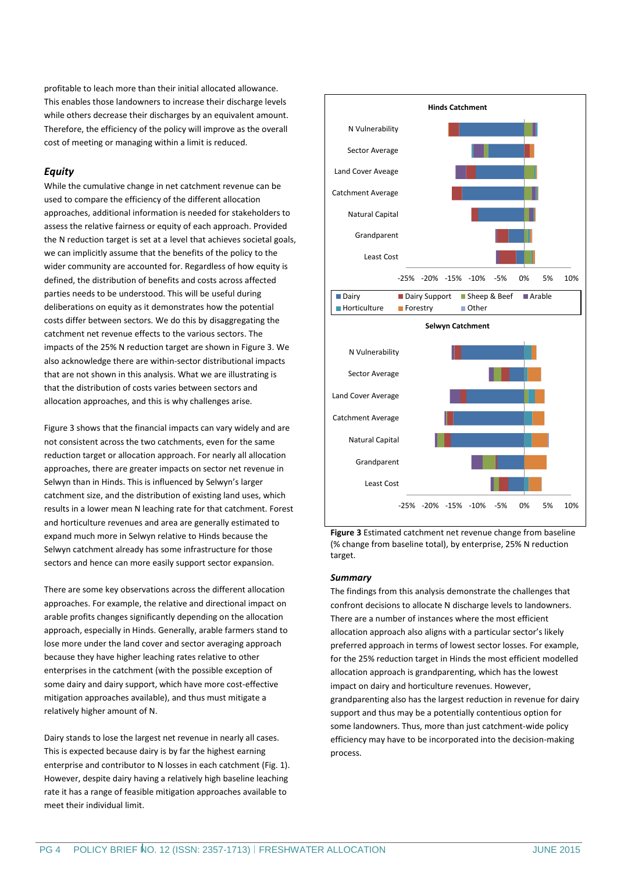profitable to leach more than their initial allocated allowance. This enables those landowners to increase their discharge levels while others decrease their discharges by an equivalent amount. Therefore, the efficiency of the policy will improve as the overall cost of meeting or managing within a limit is reduced.

## *Equity*

While the cumulative change in net catchment revenue can be used to compare the efficiency of the different allocation approaches, additional information is needed for stakeholders to assess the relative fairness or equity of each approach. Provided the N reduction target is set at a level that achieves societal goals, we can implicitly assume that the benefits of the policy to the wider community are accounted for. Regardless of how equity is defined, the distribution of benefits and costs across affected parties needs to be understood. This will be useful during deliberations on equity as it demonstrates how the potential costs differ between sectors. We do this by disaggregating the catchment net revenue effects to the various sectors. The impacts of the 25% N reduction target are shown in Figure 3. We also acknowledge there are within-sector distributional impacts that are not shown in this analysis. What we are illustrating is that the distribution of costs varies between sectors and allocation approaches, and this is why challenges arise.

Figure 3 shows that the financial impacts can vary widely and are not consistent across the two catchments, even for the same reduction target or allocation approach. For nearly all allocation approaches, there are greater impacts on sector net revenue in Selwyn than in Hinds. This is influenced by Selwyn's larger catchment size, and the distribution of existing land uses, which results in a lower mean N leaching rate for that catchment. Forest and horticulture revenues and area are generally estimated to expand much more in Selwyn relative to Hinds because the Selwyn catchment already has some infrastructure for those sectors and hence can more easily support sector expansion.

There are some key observations across the different allocation approaches. For example, the relative and directional impact on arable profits changes significantly depending on the allocation approach, especially in Hinds. Generally, arable farmers stand to lose more under the land cover and sector averaging approach because they have higher leaching rates relative to other enterprises in the catchment (with the possible exception of some dairy and dairy support, which have more cost-effective mitigation approaches available), and thus must mitigate a relatively higher amount of N.

Dairy stands to lose the largest net revenue in nearly all cases. This is expected because dairy is by far the highest earning enterprise and contributor to N losses in each catchment (Fig. 1). However, despite dairy having a relatively high baseline leaching rate it has a range of feasible mitigation approaches available to meet their individual limit.



**Figure 3** Estimated catchment net revenue change from baseline (% change from baseline total), by enterprise, 25% N reduction target.

### *Summary*

The findings from this analysis demonstrate the challenges that confront decisions to allocate N discharge levels to landowners. There are a number of instances where the most efficient allocation approach also aligns with a particular sector's likely preferred approach in terms of lowest sector losses. For example, for the 25% reduction target in Hinds the most efficient modelled allocation approach is grandparenting, which has the lowest impact on dairy and horticulture revenues. However, grandparenting also has the largest reduction in revenue for dairy support and thus may be a potentially contentious option for some landowners. Thus, more than just catchment-wide policy efficiency may have to be incorporated into the decision-making process.